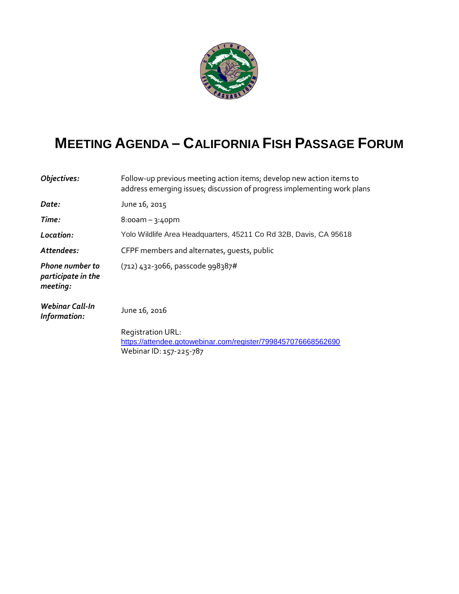

## **MEETING AGENDA – CALIFORNIA FISH PASSAGE FORUM**

| Objectives:                                              | Follow-up previous meeting action items; develop new action items to<br>address emerging issues; discussion of progress implementing work plans |
|----------------------------------------------------------|-------------------------------------------------------------------------------------------------------------------------------------------------|
| Date:                                                    | June 16, 2015                                                                                                                                   |
| Time:                                                    | $8:$ ooam – 3:40pm                                                                                                                              |
| Location:                                                | Yolo Wildlife Area Headquarters, 45211 Co Rd 32B, Davis, CA 95618                                                                               |
| Attendees:                                               | CFPF members and alternates, quests, public                                                                                                     |
| <b>Phone number to</b><br>participate in the<br>meeting: | (712) 432-3066, passcode 998387#                                                                                                                |
| Webinar Call-In<br>Information:                          | June 16, 2016                                                                                                                                   |
|                                                          | Registration URL:<br>https://attendee.gotowebinar.com/register/7998457076668562690<br>Webinar ID: 157-225-787                                   |